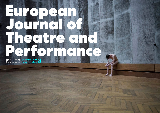# European Journal of Theatre and Performance ISSUE 3 SEPT 2021

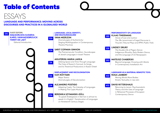# Table of Contents



*Voices of Law and Justice: The (Re-)enactment of Legal Discourse in Tricycle's Tribunal Plays and IIPM's Public Trials*

*The Double Life of Pagan Dance: Indigenous Rituality, Early Modern Dance, and the Language of US Newspapers*

# **MATEUSZ CHABERSKI**

*Beyond Language: Knowing with Abiota in Contemporary Installation Art*

### **KLAAS TINDEMANS PERFORMATIVITY OF LANGUAGE**



# **LANGUAGE AND PERFORMANCE: MOVING ACROSS DISCOURSES AND PRACTICES IN A GLOBALISED WORLD**

# **LANGUAGE AS A MATERIAL-SEMIOTIC TOOL**

*Moving Words Move Bodies: Kinetic Textuality in* new skin

### **DAVID RITTERSHAUS**

*Returning to Lacan: Psychoanalytic Theory and the Uses of Language in Rehearsal Processes of European Contemporary Dance*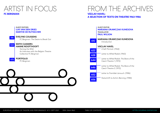# ARTIST IN FOCUS FROM THE ARCHIVES **FC BERGMAN VÁCLAV HAVEL:**